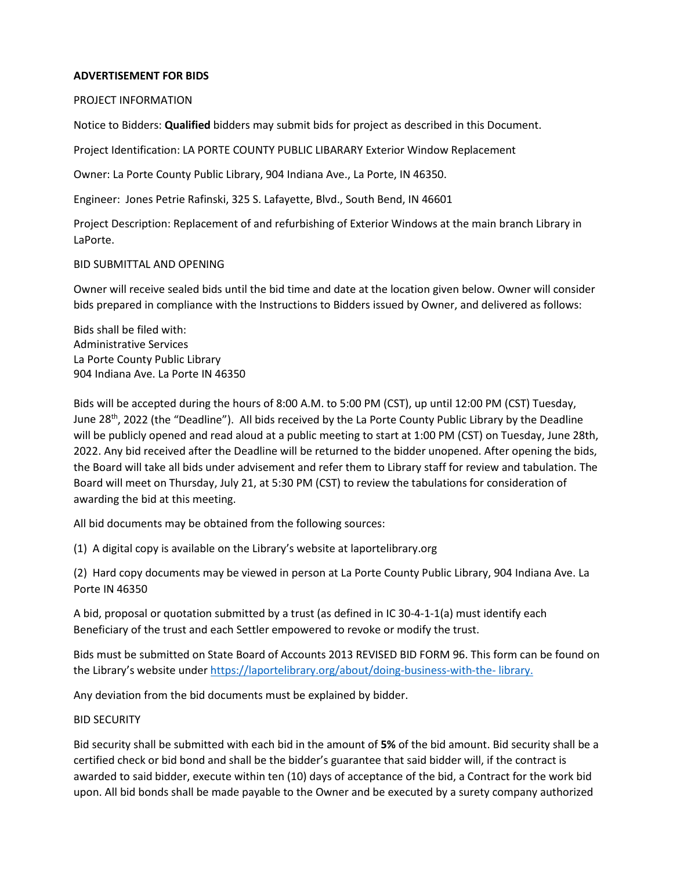### **ADVERTISEMENT FOR BIDS**

PROJECT INFORMATION

Notice to Bidders: **Qualified** bidders may submit bids for project as described in this Document.

Project Identification: LA PORTE COUNTY PUBLIC LIBARARY Exterior Window Replacement

Owner: La Porte County Public Library, 904 Indiana Ave., La Porte, IN 46350.

Engineer: Jones Petrie Rafinski, 325 S. Lafayette, Blvd., South Bend, IN 46601

Project Description: Replacement of and refurbishing of Exterior Windows at the main branch Library in LaPorte.

BID SUBMITTAL AND OPENING

Owner will receive sealed bids until the bid time and date at the location given below. Owner will consider bids prepared in compliance with the Instructions to Bidders issued by Owner, and delivered as follows:

Bids shall be filed with: Administrative Services La Porte County Public Library 904 Indiana Ave. La Porte IN 46350

Bids will be accepted during the hours of 8:00 A.M. to 5:00 PM (CST), up until 12:00 PM (CST) Tuesday, June 28<sup>th</sup>, 2022 (the "Deadline"). All bids received by the La Porte County Public Library by the Deadline will be publicly opened and read aloud at a public meeting to start at 1:00 PM (CST) on Tuesday, June 28th, 2022. Any bid received after the Deadline will be returned to the bidder unopened. After opening the bids, the Board will take all bids under advisement and refer them to Library staff for review and tabulation. The Board will meet on Thursday, July 21, at 5:30 PM (CST) to review the tabulations for consideration of awarding the bid at this meeting.

All bid documents may be obtained from the following sources:

(1) A digital copy is available on the Library's website at laportelibrary.org

(2) Hard copy documents may be viewed in person at La Porte County Public Library, 904 Indiana Ave. La Porte IN 46350

A bid, proposal or quotation submitted by a trust (as defined in IC 30-4-1-1(a) must identify each Beneficiary of the trust and each Settler empowered to revoke or modify the trust.

Bids must be submitted on State Board of Accounts 2013 REVISED BID FORM 96. This form can be found on the Library's website unde[r https://laportelibrary.org/about/doing-business-with-the-](https://laportelibrary.org/about/doing-business-with-the-library) [library.](https://laportelibrary.org/about/doing-business-with-the-library)

Any deviation from the bid documents must be explained by bidder.

### BID SECURITY

Bid security shall be submitted with each bid in the amount of **5%** of the bid amount. Bid security shall be a certified check or bid bond and shall be the bidder's guarantee that said bidder will, if the contract is awarded to said bidder, execute within ten (10) days of acceptance of the bid, a Contract for the work bid upon. All bid bonds shall be made payable to the Owner and be executed by a surety company authorized